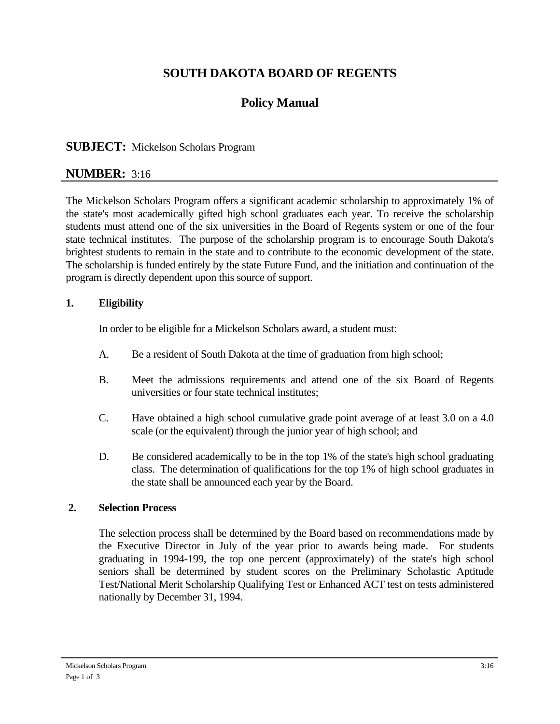# **SOUTH DAKOTA BOARD OF REGENTS**

# **Policy Manual**

## **SUBJECT:** Mickelson Scholars Program

## **NUMBER:** 3:16

The Mickelson Scholars Program offers a significant academic scholarship to approximately 1% of the state's most academically gifted high school graduates each year. To receive the scholarship students must attend one of the six universities in the Board of Regents system or one of the four state technical institutes. The purpose of the scholarship program is to encourage South Dakota's brightest students to remain in the state and to contribute to the economic development of the state. The scholarship is funded entirely by the state Future Fund, and the initiation and continuation of the program is directly dependent upon this source of support.

### **1. Eligibility**

In order to be eligible for a Mickelson Scholars award, a student must:

- A. Be a resident of South Dakota at the time of graduation from high school;
- B. Meet the admissions requirements and attend one of the six Board of Regents universities or four state technical institutes;
- C. Have obtained a high school cumulative grade point average of at least 3.0 on a 4.0 scale (or the equivalent) through the junior year of high school; and
- D. Be considered academically to be in the top 1% of the state's high school graduating class. The determination of qualifications for the top 1% of high school graduates in the state shall be announced each year by the Board.

### **2. Selection Process**

 The selection process shall be determined by the Board based on recommendations made by the Executive Director in July of the year prior to awards being made. For students graduating in 1994-199, the top one percent (approximately) of the state's high school seniors shall be determined by student scores on the Preliminary Scholastic Aptitude Test/National Merit Scholarship Qualifying Test or Enhanced ACT test on tests administered nationally by December 31, 1994.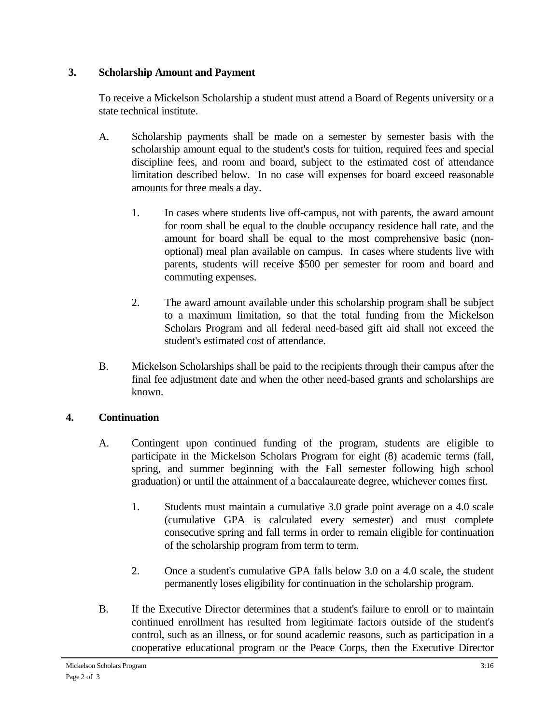## **3. Scholarship Amount and Payment**

 To receive a Mickelson Scholarship a student must attend a Board of Regents university or a state technical institute.

- A. Scholarship payments shall be made on a semester by semester basis with the scholarship amount equal to the student's costs for tuition, required fees and special discipline fees, and room and board, subject to the estimated cost of attendance limitation described below. In no case will expenses for board exceed reasonable amounts for three meals a day.
	- 1. In cases where students live off-campus, not with parents, the award amount for room shall be equal to the double occupancy residence hall rate, and the amount for board shall be equal to the most comprehensive basic (nonoptional) meal plan available on campus. In cases where students live with parents, students will receive \$500 per semester for room and board and commuting expenses.
	- 2. The award amount available under this scholarship program shall be subject to a maximum limitation, so that the total funding from the Mickelson Scholars Program and all federal need-based gift aid shall not exceed the student's estimated cost of attendance.
- B. Mickelson Scholarships shall be paid to the recipients through their campus after the final fee adjustment date and when the other need-based grants and scholarships are known.

## **4. Continuation**

- A. Contingent upon continued funding of the program, students are eligible to participate in the Mickelson Scholars Program for eight (8) academic terms (fall, spring, and summer beginning with the Fall semester following high school graduation) or until the attainment of a baccalaureate degree, whichever comes first.
	- 1. Students must maintain a cumulative 3.0 grade point average on a 4.0 scale (cumulative GPA is calculated every semester) and must complete consecutive spring and fall terms in order to remain eligible for continuation of the scholarship program from term to term.
	- 2. Once a student's cumulative GPA falls below 3.0 on a 4.0 scale, the student permanently loses eligibility for continuation in the scholarship program.
- B. If the Executive Director determines that a student's failure to enroll or to maintain continued enrollment has resulted from legitimate factors outside of the student's control, such as an illness, or for sound academic reasons, such as participation in a cooperative educational program or the Peace Corps, then the Executive Director